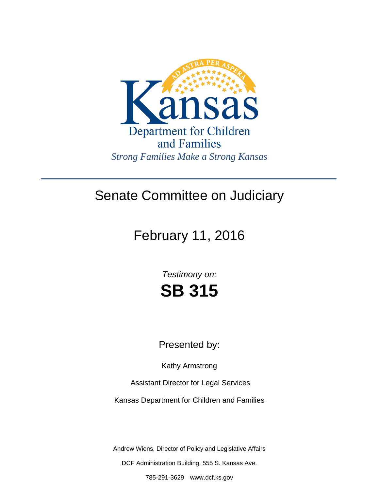

## Senate Committee on Judiciary

# February 11, 2016

*Testimony on:* **SB 315**

### Presented by:

Kathy Armstrong

Assistant Director for Legal Services

Kansas Department for Children and Families

Andrew Wiens, Director of Policy and Legislative Affairs

DCF Administration Building, 555 S. Kansas Ave.

785-291-3629 www.dcf.ks.gov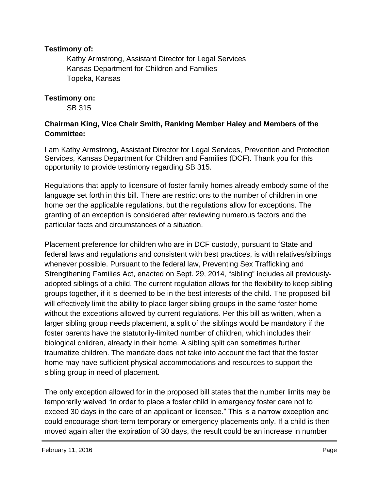#### **Testimony of:**

 Kathy Armstrong, Assistant Director for Legal Services Kansas Department for Children and Families Topeka, Kansas

#### **Testimony on:**

SB 315

#### **Chairman King, Vice Chair Smith, Ranking Member Haley and Members of the Committee:**

I am Kathy Armstrong, Assistant Director for Legal Services, Prevention and Protection Services, Kansas Department for Children and Families (DCF). Thank you for this opportunity to provide testimony regarding SB 315.

Regulations that apply to licensure of foster family homes already embody some of the language set forth in this bill. There are restrictions to the number of children in one home per the applicable regulations, but the regulations allow for exceptions. The granting of an exception is considered after reviewing numerous factors and the particular facts and circumstances of a situation.

Placement preference for children who are in DCF custody, pursuant to State and federal laws and regulations and consistent with best practices, is with relatives/siblings whenever possible. Pursuant to the federal law, Preventing Sex Trafficking and Strengthening Families Act, enacted on Sept. 29, 2014, "sibling" includes all previouslyadopted siblings of a child. The current regulation allows for the flexibility to keep sibling groups together, if it is deemed to be in the best interests of the child. The proposed bill will effectively limit the ability to place larger sibling groups in the same foster home without the exceptions allowed by current regulations. Per this bill as written, when a larger sibling group needs placement, a split of the siblings would be mandatory if the foster parents have the statutorily-limited number of children, which includes their biological children, already in their home. A sibling split can sometimes further traumatize children. The mandate does not take into account the fact that the foster home may have sufficient physical accommodations and resources to support the sibling group in need of placement.

The only exception allowed for in the proposed bill states that the number limits may be temporarily waived "in order to place a foster child in emergency foster care not to exceed 30 days in the care of an applicant or licensee." This is a narrow exception and could encourage short-term temporary or emergency placements only. If a child is then moved again after the expiration of 30 days, the result could be an increase in number